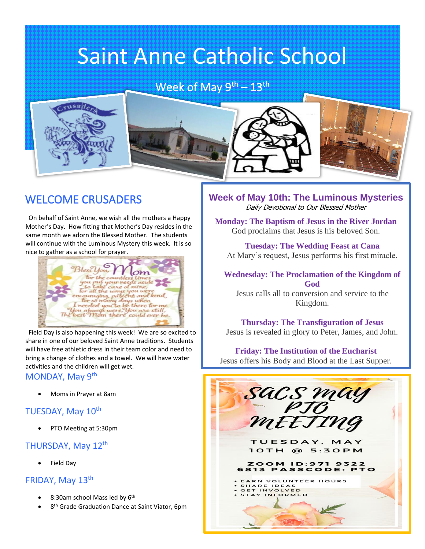# Saint Anne Catholic School

Week of May  $9<sup>th</sup> - 13<sup>th</sup>$ 



### WELCOME CRUSADERS

 On behalf of Saint Anne, we wish all the mothers a Happy Mother's Day. How fitting that Mother's Day resides in the same month we adorn the Blessed Mother. The students will continue with the Luminous Mystery this week. It is so nice to gather as a school for prayer.



 Field Day is also happening this week! We are so excited to share in one of our beloved Saint Anne traditions. Students will have free athletic dress in their team color and need to bring a change of clothes and a towel. We will have water activities and the children will get wet.

#### MONDAY, May 9th

• Moms in Prayer at 8am

#### TUESDAY, May 10<sup>th</sup>

• PTO Meeting at 5:30pm

#### THURSDAY, May 12<sup>th</sup>

• Field Day

#### FRIDAY, May 13<sup>th</sup>

- 8:30am school Mass led by 6<sup>th</sup>
- 8<sup>th</sup> Grade Graduation Dance at Saint Viator, 6pm

**Week of May 10th: The Luminous Mysteries**  Daily Devotional to Our Blessed Mother

j

**Monday: The Baptism of Jesus in the River Jordan** God proclaims that Jesus is his beloved Son.

**Tuesday: The Wedding Feast at Cana** At Mary's request, Jesus performs his first miracle.

**Wednesday: The Proclamation of the Kingdom of God** Jesus calls all to conversion and service to the

Kingdom.

**Thursday: The Transfiguration of Jesus** Jesus is revealed in glory to Peter, James, and John.

**Friday: The Institution of the Eucharist** Jesus offers his Body and Blood at the Last Supper.